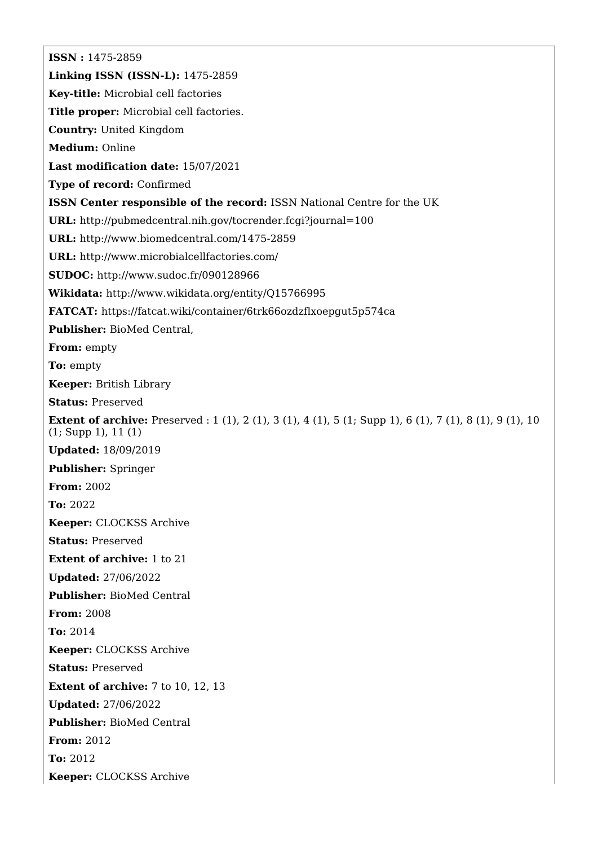**ISSN :** 1475-2859 **Linking ISSN (ISSN-L):** 1475-2859 **Key-title:** Microbial cell factories **Title proper:** Microbial cell factories. **Country:** United Kingdom **Medium:** Online **Last modification date:** 15/07/2021 **Type of record:** Confirmed **ISSN Center responsible of the record:** ISSN National Centre for the UK **URL:** <http://pubmedcentral.nih.gov/tocrender.fcgi?journal=100> **URL:** <http://www.biomedcentral.com/1475-2859> **URL:** <http://www.microbialcellfactories.com/> **SUDOC:** <http://www.sudoc.fr/090128966> **Wikidata:** <http://www.wikidata.org/entity/Q15766995> **FATCAT:** <https://fatcat.wiki/container/6trk66ozdzflxoepgut5p574ca> **Publisher:** BioMed Central, **From:** empty **To:** empty **Keeper:** British Library **Status:** Preserved **Extent of archive:** Preserved : 1 (1), 2 (1), 3 (1), 4 (1), 5 (1; Supp 1), 6 (1), 7 (1), 8 (1), 9 (1), 10 (1; Supp 1), 11 (1) **Updated:** 18/09/2019 **Publisher:** Springer **From:** 2002 **To:** 2022 **Keeper:** CLOCKSS Archive **Status:** Preserved **Extent of archive:** 1 to 21 **Updated:** 27/06/2022 **Publisher:** BioMed Central **From:** 2008 **To:** 2014 **Keeper:** CLOCKSS Archive **Status:** Preserved **Extent of archive:** 7 to 10, 12, 13 **Updated:** 27/06/2022 **Publisher:** BioMed Central **From:** 2012 **To:** 2012 **Keeper:** CLOCKSS Archive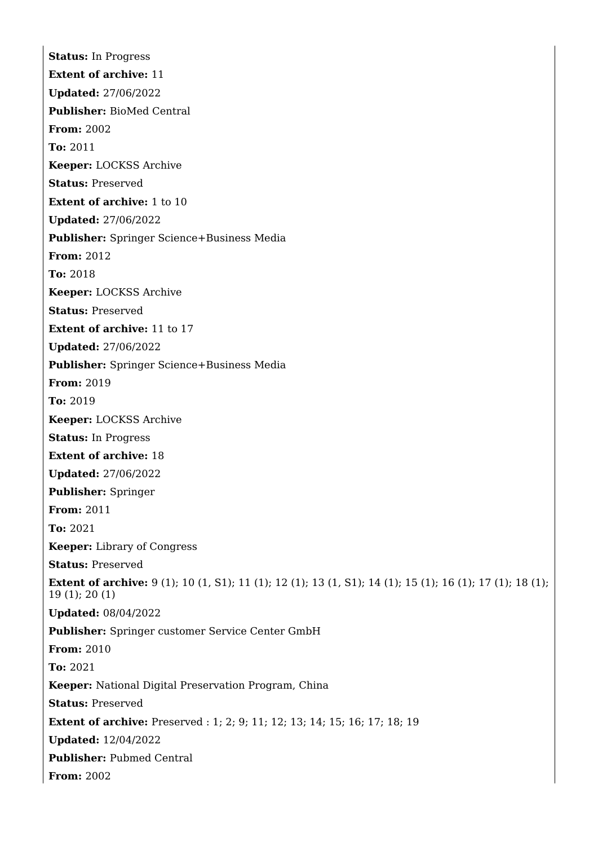**Status:** In Progress **Extent of archive:** 11 **Updated:** 27/06/2022 **Publisher:** BioMed Central **From:** 2002 **To:** 2011 **Keeper:** LOCKSS Archive **Status:** Preserved **Extent of archive:** 1 to 10 **Updated:** 27/06/2022 **Publisher:** Springer Science+Business Media **From:** 2012 **To:** 2018 **Keeper:** LOCKSS Archive **Status:** Preserved **Extent of archive:** 11 to 17 **Updated:** 27/06/2022 **Publisher:** Springer Science+Business Media **From:** 2019 **To:** 2019 **Keeper:** LOCKSS Archive **Status:** In Progress **Extent of archive:** 18 **Updated:** 27/06/2022 **Publisher:** Springer **From:** 2011 **To:** 2021 **Keeper:** Library of Congress **Status:** Preserved **Extent of archive:** 9 (1); 10 (1, S1); 11 (1); 12 (1); 13 (1, S1); 14 (1); 15 (1); 16 (1); 17 (1); 18 (1); 19 (1); 20 (1) **Updated:** 08/04/2022 **Publisher:** Springer customer Service Center GmbH **From:** 2010 **To:** 2021 **Keeper:** National Digital Preservation Program, China **Status:** Preserved **Extent of archive:** Preserved : 1; 2; 9; 11; 12; 13; 14; 15; 16; 17; 18; 19 **Updated:** 12/04/2022 **Publisher:** Pubmed Central **From:** 2002